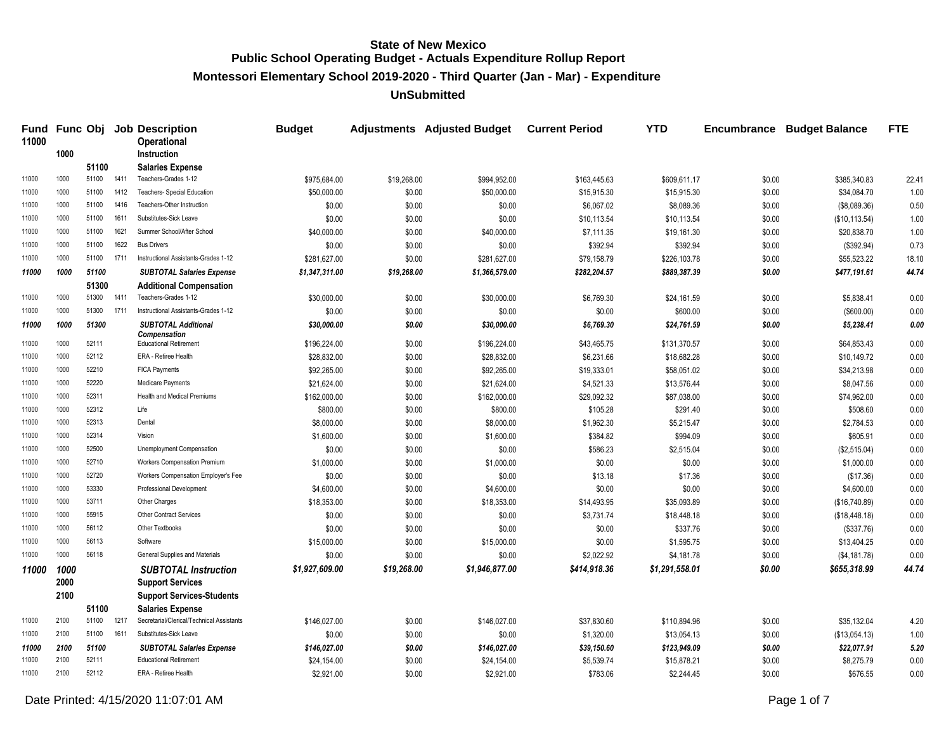**Montessori Elementary School 2019-2020 - Third Quarter (Jan - Mar) - Expenditure**

**UnSubmitted**

| Fund<br>11000 |      |       |      | <b>Func Obj Job Description</b><br><b>Operational</b> | <b>Budget</b>  |             | <b>Adjustments</b> Adjusted Budget | <b>Current Period</b> | <b>YTD</b>     | Encumbrance | <b>Budget Balance</b> | <b>FTE</b> |
|---------------|------|-------|------|-------------------------------------------------------|----------------|-------------|------------------------------------|-----------------------|----------------|-------------|-----------------------|------------|
|               | 1000 |       |      | Instruction                                           |                |             |                                    |                       |                |             |                       |            |
|               |      | 51100 |      | <b>Salaries Expense</b>                               |                |             |                                    |                       |                |             |                       |            |
| 11000         | 1000 | 51100 | 1411 | Teachers-Grades 1-12                                  | \$975.684.00   | \$19,268.00 | \$994.952.00                       | \$163,445.63          | \$609.611.17   | \$0.00      | \$385.340.83          | 22.41      |
| 11000         | 1000 | 51100 | 1412 | Teachers- Special Education                           | \$50,000.00    | \$0.00      | \$50,000.00                        | \$15,915.30           | \$15,915.30    | \$0.00      | \$34,084.70           | 1.00       |
| 11000         | 1000 | 51100 | 1416 | Teachers-Other Instruction                            | \$0.00         | \$0.00      | \$0.00                             | \$6,067.02            | \$8,089.36     | \$0.00      | (\$8,089.36)          | 0.50       |
| 11000         | 1000 | 51100 | 1611 | Substitutes-Sick Leave                                | \$0.00         | \$0.00      | \$0.00                             | \$10,113.54           | \$10,113.54    | \$0.00      | (\$10, 113.54)        | 1.00       |
| 11000         | 1000 | 51100 | 1621 | Summer School/After School                            | \$40,000.00    | \$0.00      | \$40,000.00                        | \$7,111.35            | \$19,161.30    | \$0.00      | \$20,838.70           | 1.00       |
| 11000         | 1000 | 51100 | 1622 | <b>Bus Drivers</b>                                    | \$0.00         | \$0.00      | \$0.00                             | \$392.94              | \$392.94       | \$0.00      | (\$392.94)            | 0.73       |
| 11000         | 1000 | 51100 | 1711 | Instructional Assistants-Grades 1-12                  | \$281.627.00   | \$0.00      | \$281.627.00                       | \$79,158.79           | \$226,103.78   | \$0.00      | \$55.523.22           | 18.10      |
| 11000         | 1000 | 51100 |      | <b>SUBTOTAL Salaries Expense</b>                      | \$1,347,311.00 | \$19,268.00 | \$1,366,579.00                     | \$282,204.57          | \$889,387.39   | \$0.00      | \$477,191.61          | 44.74      |
|               |      | 51300 |      | <b>Additional Compensation</b>                        |                |             |                                    |                       |                |             |                       |            |
| 11000         | 1000 | 51300 | 1411 | Teachers-Grades 1-12                                  | \$30,000.00    | \$0.00      | \$30,000.00                        | \$6,769.30            | \$24,161.59    | \$0.00      | \$5,838.41            | 0.00       |
| 11000         | 1000 | 51300 | 1711 | Instructional Assistants-Grades 1-12                  | \$0.00         | \$0.00      | \$0.00                             | \$0.00                | \$600.00       | \$0.00      | (\$600.00)            | 0.00       |
| 11000         | 1000 | 51300 |      | <b>SUBTOTAL Additional</b>                            | \$30,000.00    | \$0.00      | \$30,000.00                        | \$6,769.30            | \$24,761.59    | \$0.00      | \$5,238.41            | 0.00       |
| 11000         | 1000 | 52111 |      | <b>Compensation</b><br><b>Educational Retirement</b>  | \$196,224.00   | \$0.00      | \$196,224.00                       | \$43,465.75           | \$131,370.57   | \$0.00      | \$64,853.43           | 0.00       |
| 11000         | 1000 | 52112 |      | ERA - Retiree Health                                  | \$28,832.00    | \$0.00      | \$28,832.00                        | \$6,231.66            | \$18,682.28    | \$0.00      | \$10,149.72           | 0.00       |
| 11000         | 1000 | 52210 |      | <b>FICA Payments</b>                                  | \$92,265.00    | \$0.00      | \$92,265.00                        | \$19,333.01           | \$58,051.02    | \$0.00      | \$34,213.98           | 0.00       |
| 11000         | 1000 | 52220 |      | Medicare Payments                                     | \$21,624.00    | \$0.00      | \$21,624.00                        | \$4,521.33            | \$13,576.44    | \$0.00      | \$8,047.56            | 0.00       |
| 11000         | 1000 | 52311 |      | Health and Medical Premiums                           | \$162,000.00   | \$0.00      | \$162,000.00                       | \$29,092.32           | \$87,038.00    | \$0.00      | \$74,962.00           | 0.00       |
| 11000         | 1000 | 52312 |      | Life                                                  | \$800.00       | \$0.00      | \$800.00                           | \$105.28              | \$291.40       | \$0.00      | \$508.60              | 0.00       |
| 11000         | 1000 | 52313 |      | Dental                                                | \$8,000.00     | \$0.00      | \$8,000.00                         | \$1,962.30            | \$5,215.47     | \$0.00      | \$2,784.53            | 0.00       |
| 11000         | 1000 | 52314 |      | Vision                                                | \$1,600.00     | \$0.00      | \$1,600.00                         | \$384.82              | \$994.09       | \$0.00      | \$605.91              | 0.00       |
| 11000         | 1000 | 52500 |      | Unemployment Compensation                             | \$0.00         | \$0.00      | \$0.00                             | \$586.23              | \$2,515.04     | \$0.00      | (\$2,515.04)          | 0.00       |
| 11000         | 1000 | 52710 |      | Workers Compensation Premium                          | \$1,000.00     | \$0.00      | \$1,000.00                         | \$0.00                | \$0.00         | \$0.00      | \$1,000.00            | 0.00       |
| 11000         | 1000 | 52720 |      | Workers Compensation Employer's Fee                   | \$0.00         | \$0.00      | \$0.00                             | \$13.18               | \$17.36        | \$0.00      | (\$17.36)             | 0.00       |
| 11000         | 1000 | 53330 |      | Professional Development                              | \$4,600.00     | \$0.00      | \$4,600.00                         | \$0.00                | \$0.00         | \$0.00      | \$4,600.00            | 0.00       |
| 11000         | 1000 | 53711 |      | Other Charges                                         | \$18,353.00    | \$0.00      | \$18,353.00                        | \$14,493.95           | \$35,093.89    | \$0.00      | (\$16,740.89)         | 0.00       |
| 11000         | 1000 | 55915 |      | <b>Other Contract Services</b>                        | \$0.00         | \$0.00      | \$0.00                             | \$3,731.74            | \$18,448.18    | \$0.00      | (\$18,448.18)         | 0.00       |
| 11000         | 1000 | 56112 |      | Other Textbooks                                       | \$0.00         | \$0.00      | \$0.00                             | \$0.00                | \$337.76       | \$0.00      | (\$337.76)            | 0.00       |
| 11000         | 1000 | 56113 |      | Software                                              | \$15,000.00    | \$0.00      | \$15,000.00                        | \$0.00                | \$1,595.75     | \$0.00      | \$13,404.25           | 0.00       |
| 11000         | 1000 | 56118 |      | General Supplies and Materials                        | \$0.00         | \$0.00      | \$0.00                             | \$2,022.92            | \$4,181.78     | \$0.00      | (\$4,181.78)          | 0.00       |
| 11000         | 1000 |       |      | <b>SUBTOTAL Instruction</b>                           | \$1,927,609.00 | \$19,268.00 | \$1,946,877.00                     | \$414,918.36          | \$1,291,558.01 | \$0.00      | \$655,318.99          | 44.74      |
|               | 2000 |       |      | <b>Support Services</b>                               |                |             |                                    |                       |                |             |                       |            |
|               | 2100 |       |      | <b>Support Services-Students</b>                      |                |             |                                    |                       |                |             |                       |            |
|               |      | 51100 |      | <b>Salaries Expense</b>                               |                |             |                                    |                       |                |             |                       |            |
| 11000         | 2100 | 51100 | 1217 | Secretarial/Clerical/Technical Assistants             | \$146,027.00   | \$0.00      | \$146,027.00                       | \$37,830.60           | \$110,894.96   | \$0.00      | \$35,132.04           | 4.20       |
| 11000         | 2100 | 51100 | 1611 | Substitutes-Sick Leave                                | \$0.00         | \$0.00      | \$0.00                             | \$1,320.00            | \$13,054.13    | \$0.00      | (\$13,054.13)         | 1.00       |
| 11000         | 2100 | 51100 |      | <b>SUBTOTAL Salaries Expense</b>                      | \$146,027.00   | \$0.00      | \$146,027.00                       | \$39,150.60           | \$123,949.09   | \$0.00      | \$22,077.91           | 5.20       |
| 11000         | 2100 | 52111 |      | <b>Educational Retirement</b>                         | \$24,154.00    | \$0.00      | \$24,154.00                        | \$5,539.74            | \$15,878.21    | \$0.00      | \$8,275.79            | 0.00       |
| 11000         | 2100 | 52112 |      | ERA - Retiree Health                                  | \$2.921.00     | \$0.00      | \$2.921.00                         | \$783.06              | \$2.244.45     | \$0.00      | \$676.55              | 0.00       |

Date Printed: 4/15/2020 11:07:01 AM Page 1 of 7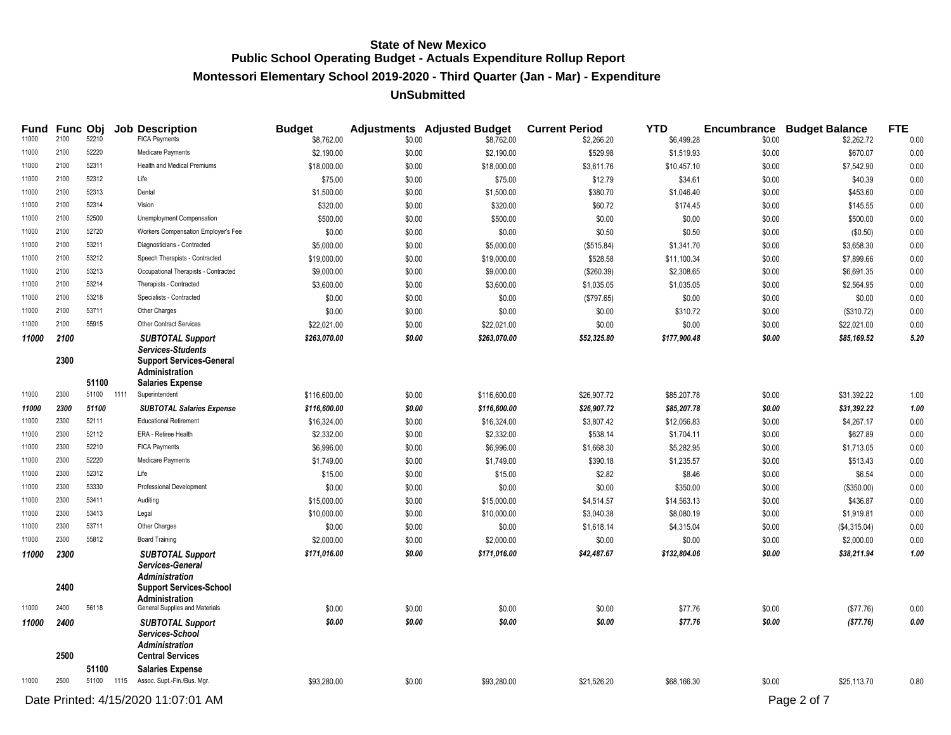**Montessori Elementary School 2019-2020 - Third Quarter (Jan - Mar) - Expenditure**

| Fund  |      | Func Obj |      | <b>Job Description</b>                                  | <b>Budget</b> |        | <b>Adjustments</b> Adjusted Budget | <b>Current Period</b> | <b>YTD</b>   |        | <b>Encumbrance Budget Balance</b> | <b>FTE</b> |
|-------|------|----------|------|---------------------------------------------------------|---------------|--------|------------------------------------|-----------------------|--------------|--------|-----------------------------------|------------|
| 11000 | 2100 | 52210    |      | <b>FICA Payments</b>                                    | \$8,762.00    | \$0.00 | \$8,762.00                         | \$2,266.20            | \$6,499.28   | \$0.00 | \$2,262.72                        | 0.00       |
| 11000 | 2100 | 52220    |      | Medicare Payments                                       | \$2,190.00    | \$0.00 | \$2,190.00                         | \$529.98              | \$1,519.93   | \$0.00 | \$670.07                          | 0.00       |
| 11000 | 2100 | 52311    |      | <b>Health and Medical Premiums</b>                      | \$18,000.00   | \$0.00 | \$18,000.00                        | \$3,611.76            | \$10,457.10  | \$0.00 | \$7,542.90                        | 0.00       |
| 11000 | 2100 | 52312    |      | Life                                                    | \$75.00       | \$0.00 | \$75.00                            | \$12.79               | \$34.61      | \$0.00 | \$40.39                           | 0.00       |
| 11000 | 2100 | 52313    |      | Dental                                                  | \$1,500.00    | \$0.00 | \$1,500.00                         | \$380.70              | \$1,046.40   | \$0.00 | \$453.60                          | 0.00       |
| 11000 | 2100 | 52314    |      | Vision                                                  | \$320.00      | \$0.00 | \$320.00                           | \$60.72               | \$174.45     | \$0.00 | \$145.55                          | 0.00       |
| 11000 | 2100 | 52500    |      | Unemployment Compensation                               | \$500.00      | \$0.00 | \$500.00                           | \$0.00                | \$0.00       | \$0.00 | \$500.00                          | 0.00       |
| 11000 | 2100 | 52720    |      | Workers Compensation Employer's Fee                     | \$0.00        | \$0.00 | \$0.00                             | \$0.50                | \$0.50       | \$0.00 | (\$0.50)                          | 0.00       |
| 11000 | 2100 | 53211    |      | Diagnosticians - Contracted                             | \$5,000.00    | \$0.00 | \$5,000.00                         | (\$515.84)            | \$1,341.70   | \$0.00 | \$3,658.30                        | 0.00       |
| 11000 | 2100 | 53212    |      | Speech Therapists - Contracted                          | \$19,000.00   | \$0.00 | \$19,000.00                        | \$528.58              | \$11,100.34  | \$0.00 | \$7,899.66                        | 0.00       |
| 11000 | 2100 | 53213    |      | Occupational Therapists - Contracted                    | \$9,000.00    | \$0.00 | \$9,000.00                         | (\$260.39)            | \$2,308.65   | \$0.00 | \$6,691.35                        | 0.00       |
| 11000 | 2100 | 53214    |      | Therapists - Contracted                                 | \$3,600.00    | \$0.00 | \$3,600.00                         | \$1,035.05            | \$1,035.05   | \$0.00 | \$2,564.95                        | 0.00       |
| 11000 | 2100 | 53218    |      | Specialists - Contracted                                | \$0.00        | \$0.00 | \$0.00                             | (\$797.65)            | \$0.00       | \$0.00 | \$0.00                            | 0.00       |
| 11000 | 2100 | 53711    |      | Other Charges                                           | \$0.00        | \$0.00 | \$0.00                             | \$0.00                | \$310.72     | \$0.00 | (\$310.72)                        | 0.00       |
| 11000 | 2100 | 55915    |      | Other Contract Services                                 | \$22,021.00   | \$0.00 | \$22,021.00                        | \$0.00                | \$0.00       | \$0.00 | \$22,021.00                       | 0.00       |
| 11000 | 2100 |          |      | <b>SUBTOTAL Support</b>                                 | \$263,070.00  | \$0.00 | \$263,070.00                       | \$52,325.80           | \$177,900.48 | \$0.00 | \$85,169.52                       | 5.20       |
|       | 2300 |          |      | Services-Students<br><b>Support Services-General</b>    |               |        |                                    |                       |              |        |                                   |            |
|       |      |          |      | <b>Administration</b>                                   |               |        |                                    |                       |              |        |                                   |            |
|       |      | 51100    |      | <b>Salaries Expense</b>                                 |               |        |                                    |                       |              |        |                                   |            |
| 11000 | 2300 | 51100    | 1111 | Superintendent                                          | \$116,600.00  | \$0.00 | \$116,600.00                       | \$26,907.72           | \$85,207.78  | \$0.00 | \$31,392.22                       | 1.00       |
| 11000 | 2300 | 51100    |      | <b>SUBTOTAL Salaries Expense</b>                        | \$116,600.00  | \$0.00 | \$116,600.00                       | \$26,907.72           | \$85,207.78  | \$0.00 | \$31,392.22                       | 1.00       |
| 11000 | 2300 | 52111    |      | <b>Educational Retirement</b>                           | \$16,324.00   | \$0.00 | \$16,324.00                        | \$3,807.42            | \$12,056.83  | \$0.00 | \$4,267.17                        | 0.00       |
| 11000 | 2300 | 52112    |      | ERA - Retiree Health                                    | \$2,332.00    | \$0.00 | \$2,332.00                         | \$538.14              | \$1,704.11   | \$0.00 | \$627.89                          | 0.00       |
| 11000 | 2300 | 52210    |      | <b>FICA Payments</b>                                    | \$6,996.00    | \$0.00 | \$6,996.00                         | \$1,668.30            | \$5,282.95   | \$0.00 | \$1,713.05                        | 0.00       |
| 11000 | 2300 | 52220    |      | Medicare Payments                                       | \$1,749.00    | \$0.00 | \$1,749.00                         | \$390.18              | \$1,235.57   | \$0.00 | \$513.43                          | 0.00       |
| 11000 | 2300 | 52312    |      | Life                                                    | \$15.00       | \$0.00 | \$15.00                            | \$2.82                | \$8.46       | \$0.00 | \$6.54                            | 0.00       |
| 11000 | 2300 | 53330    |      | <b>Professional Development</b>                         | \$0.00        | \$0.00 | \$0.00                             | \$0.00                | \$350.00     | \$0.00 | (\$350.00)                        | 0.00       |
| 11000 | 2300 | 53411    |      | Auditing                                                | \$15,000.00   | \$0.00 | \$15,000.00                        | \$4,514.57            | \$14,563.13  | \$0.00 | \$436.87                          | 0.00       |
| 11000 | 2300 | 53413    |      | Legal                                                   | \$10,000.00   | \$0.00 | \$10,000.00                        | \$3,040.38            | \$8,080.19   | \$0.00 | \$1,919.81                        | 0.00       |
| 11000 | 2300 | 53711    |      | Other Charges                                           | \$0.00        | \$0.00 | \$0.00                             | \$1,618.14            | \$4,315.04   | \$0.00 | (\$4,315.04)                      | 0.00       |
| 11000 | 2300 | 55812    |      | <b>Board Training</b>                                   | \$2,000.00    | \$0.00 | \$2,000.00                         | \$0.00                | \$0.00       | \$0.00 | \$2,000.00                        | 0.00       |
| 11000 | 2300 |          |      | <b>SUBTOTAL Support</b>                                 | \$171,016.00  | \$0.00 | \$171,016.00                       | \$42,487.67           | \$132,804.06 | \$0.00 | \$38,211.94                       | 1.00       |
|       |      |          |      | Services-General                                        |               |        |                                    |                       |              |        |                                   |            |
|       |      |          |      | <b>Administration</b>                                   |               |        |                                    |                       |              |        |                                   |            |
|       | 2400 |          |      | <b>Support Services-School</b><br><b>Administration</b> |               |        |                                    |                       |              |        |                                   |            |
| 11000 | 2400 | 56118    |      | General Supplies and Materials                          | \$0.00        | \$0.00 | \$0.00                             | \$0.00                | \$77.76      | \$0.00 | (\$77.76)                         | 0.00       |
| 11000 | 2400 |          |      | <b>SUBTOTAL Support</b>                                 | \$0.00        | \$0.00 | \$0.00                             | \$0.00                | \$77.76      | \$0.00 | (\$77.76)                         | 0.00       |
|       |      |          |      | Services-School                                         |               |        |                                    |                       |              |        |                                   |            |
|       |      |          |      | <b>Administration</b>                                   |               |        |                                    |                       |              |        |                                   |            |
|       | 2500 |          |      | <b>Central Services</b>                                 |               |        |                                    |                       |              |        |                                   |            |
|       |      | 51100    |      | <b>Salaries Expense</b>                                 |               |        |                                    |                       |              |        |                                   |            |
| 11000 | 2500 |          |      | 51100 1115 Assoc. Supt.-Fin./Bus. Mgr.                  | \$93,280.00   | \$0.00 | \$93,280.00                        | \$21,526.20           | \$68,166.30  | \$0.00 | \$25,113.70                       | 0.80       |
|       |      |          |      | Date Printed: 4/15/2020 11:07:01 AM                     |               |        |                                    |                       |              |        | Page 2 of 7                       |            |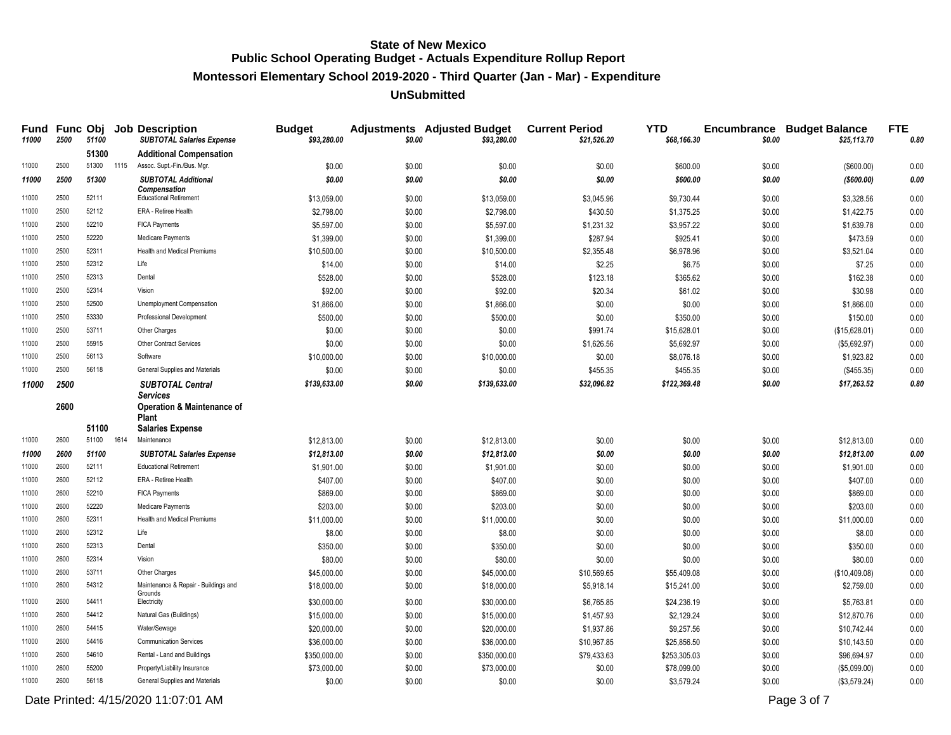# **Montessori Elementary School 2019-2020 - Third Quarter (Jan - Mar) - Expenditure**

#### **UnSubmitted**

| Fund<br>11000  | 2500         | 51100          |      | <b>Func Obj Job Description</b><br><b>SUBTOTAL Salaries Expense</b> | <b>Budget</b><br>\$93,280.00 | \$0.00           | <b>Adjustments</b> Adjusted Budget<br>\$93,280.00 | <b>Current Period</b><br>\$21,526.20 | <b>YTD</b><br>\$68,166.30 | \$0.00           | <b>Encumbrance Budget Balance</b><br>\$25,113.70 | <b>FTE</b><br>0.80 |
|----------------|--------------|----------------|------|---------------------------------------------------------------------|------------------------------|------------------|---------------------------------------------------|--------------------------------------|---------------------------|------------------|--------------------------------------------------|--------------------|
|                |              | 51300          |      | <b>Additional Compensation</b>                                      |                              |                  |                                                   |                                      |                           |                  |                                                  |                    |
| 11000          | 2500         | 51300 1115     |      | Assoc. Supt.-Fin./Bus. Mgr.                                         | \$0.00                       | \$0.00           | \$0.00                                            | \$0.00                               | \$600.00                  | \$0.00           | (\$600.00)                                       | 0.00               |
| 11000          | 2500         | 51300          |      | <b>SUBTOTAL Additional</b>                                          | \$0.00                       | \$0.00           | \$0.00                                            | \$0.00                               | \$600.00                  | \$0.00           | (\$600.00)                                       | 0.00               |
| 11000          | 2500         | 52111          |      | <b>Compensation</b><br><b>Educational Retirement</b>                | \$13,059.00                  | \$0.00           | \$13,059.00                                       | \$3,045.96                           | \$9,730.44                | \$0.00           | \$3,328.56                                       | 0.00               |
| 11000          | 2500         | 52112          |      | ERA - Retiree Health                                                | \$2,798.00                   | \$0.00           | \$2,798.00                                        | \$430.50                             | \$1,375.25                | \$0.00           | \$1,422.75                                       | 0.00               |
| 11000          | 2500         | 52210          |      | <b>FICA Payments</b>                                                | \$5,597.00                   | \$0.00           | \$5,597.00                                        | \$1,231.32                           | \$3,957.22                | \$0.00           | \$1,639.78                                       | 0.00               |
| 11000          | 2500         | 52220          |      | Medicare Payments                                                   | \$1,399.00                   | \$0.00           | \$1,399.00                                        | \$287.94                             | \$925.41                  | \$0.00           | \$473.59                                         | 0.00               |
| 11000          | 2500         | 52311          |      | <b>Health and Medical Premiums</b>                                  | \$10,500.00                  | \$0.00           | \$10,500.00                                       | \$2,355.48                           | \$6,978.96                | \$0.00           | \$3,521.04                                       | 0.00               |
| 11000          | 2500         | 52312          |      | Life                                                                | \$14.00                      | \$0.00           | \$14.00                                           | \$2.25                               | \$6.75                    | \$0.00           | \$7.25                                           | 0.00               |
| 11000          | 2500         | 52313          |      | Dental                                                              | \$528.00                     | \$0.00           | \$528.00                                          | \$123.18                             | \$365.62                  | \$0.00           | \$162.38                                         | 0.00               |
| 11000          | 2500         | 52314          |      | Vision                                                              | \$92.00                      | \$0.00           | \$92.00                                           | \$20.34                              | \$61.02                   | \$0.00           | \$30.98                                          | 0.00               |
| 11000          | 2500         | 52500          |      | Unemployment Compensation                                           | \$1,866.00                   | \$0.00           | \$1,866.00                                        | \$0.00                               | \$0.00                    | \$0.00           | \$1,866.00                                       | 0.00               |
| 11000          | 2500         | 53330          |      | Professional Development                                            | \$500.00                     | \$0.00           | \$500.00                                          | \$0.00                               | \$350.00                  | \$0.00           | \$150.00                                         | 0.00               |
| 11000          | 2500         | 53711          |      | Other Charges                                                       | \$0.00                       | \$0.00           | \$0.00                                            | \$991.74                             | \$15,628.01               | \$0.00           | (\$15,628.01)                                    | 0.00               |
| 11000          | 2500         | 55915          |      | <b>Other Contract Services</b>                                      | \$0.00                       | \$0.00           | \$0.00                                            | \$1,626.56                           | \$5,692.97                | \$0.00           | (\$5,692.97)                                     | 0.00               |
| 11000          | 2500         | 56113          |      | Software                                                            | \$10,000.00                  | \$0.00           | \$10,000.00                                       | \$0.00                               | \$8,076.18                | \$0.00           | \$1,923.82                                       | 0.00               |
| 11000          | 2500         | 56118          |      | General Supplies and Materials                                      | \$0.00                       | \$0.00           | \$0.00                                            | \$455.35                             | \$455.35                  | \$0.00           | (\$455.35)                                       | 0.00               |
| 11000          | 2500         |                |      | <b>SUBTOTAL Central</b>                                             | \$139,633.00                 | \$0.00           | \$139,633.00                                      | \$32,096.82                          | \$122,369.48              | \$0.00           | \$17,263.52                                      | 0.80               |
|                | 2600         |                |      | Services<br><b>Operation &amp; Maintenance of</b><br><b>Plant</b>   |                              |                  |                                                   |                                      |                           |                  |                                                  |                    |
| 11000          | 2600         | 51100<br>51100 | 1614 | <b>Salaries Expense</b><br>Maintenance                              |                              |                  |                                                   |                                      |                           |                  |                                                  |                    |
|                |              |                |      |                                                                     | \$12,813.00                  | \$0.00           | \$12,813.00                                       | \$0.00                               | \$0.00                    | \$0.00           | \$12,813.00                                      | 0.00               |
| 11000<br>11000 | 2600<br>2600 | 51100<br>52111 |      | <b>SUBTOTAL Salaries Expense</b><br><b>Educational Retirement</b>   | \$12,813.00                  | \$0.00           | \$12,813.00                                       | \$0.00                               | \$0.00                    | \$0.00           | \$12,813.00                                      | 0.00<br>0.00       |
| 11000          | 2600         | 52112          |      | ERA - Retiree Health                                                | \$1,901.00<br>\$407.00       | \$0.00           | \$1,901.00                                        | \$0.00                               | \$0.00                    | \$0.00           | \$1,901.00<br>\$407.00                           | 0.00               |
| 11000          | 2600         | 52210          |      | <b>FICA Payments</b>                                                | \$869.00                     | \$0.00<br>\$0.00 | \$407.00<br>\$869.00                              | \$0.00                               | \$0.00                    | \$0.00           |                                                  | 0.00               |
| 11000          | 2600         | 52220          |      | Medicare Payments                                                   |                              |                  |                                                   | \$0.00                               | \$0.00                    | \$0.00           | \$869.00<br>\$203.00                             |                    |
| 11000          | 2600         | 52311          |      | <b>Health and Medical Premiums</b>                                  | \$203.00<br>\$11,000.00      | \$0.00<br>\$0.00 | \$203.00<br>\$11,000.00                           | \$0.00<br>\$0.00                     | \$0.00<br>\$0.00          | \$0.00<br>\$0.00 | \$11,000.00                                      | 0.00<br>0.00       |
| 11000          | 2600         | 52312          |      | Life                                                                | \$8.00                       | \$0.00           | \$8.00                                            | \$0.00                               | \$0.00                    | \$0.00           | \$8.00                                           | 0.00               |
| 11000          | 2600         | 52313          |      | Dental                                                              | \$350.00                     | \$0.00           | \$350.00                                          | \$0.00                               | \$0.00                    | \$0.00           | \$350.00                                         | 0.00               |
| 11000          | 2600         | 52314          |      | Vision                                                              | \$80.00                      | \$0.00           | \$80.00                                           | \$0.00                               | \$0.00                    | \$0.00           | \$80.00                                          | 0.00               |
| 11000          | 2600         | 53711          |      | Other Charges                                                       | \$45,000.00                  | \$0.00           | \$45,000.00                                       | \$10,569.65                          | \$55,409.08               | \$0.00           | (\$10,409.08)                                    | 0.00               |
| 11000          | 2600         | 54312          |      | Maintenance & Repair - Buildings and                                | \$18,000.00                  | \$0.00           | \$18,000.00                                       | \$5,918.14                           | \$15,241.00               | \$0.00           | \$2,759.00                                       | 0.00               |
|                |              |                |      | Grounds                                                             |                              |                  |                                                   |                                      |                           |                  |                                                  |                    |
| 11000          | 2600         | 54411          |      | Electricity                                                         | \$30,000.00                  | \$0.00           | \$30,000.00                                       | \$6,765.85                           | \$24,236.19               | \$0.00           | \$5,763.81                                       | 0.00               |
| 11000          | 2600         | 54412          |      | Natural Gas (Buildings)                                             | \$15,000.00                  | \$0.00           | \$15,000.00                                       | \$1,457.93                           | \$2,129.24                | \$0.00           | \$12,870.76                                      | 0.00               |
| 11000          | 2600         | 54415          |      | Water/Sewage                                                        | \$20,000.00                  | \$0.00           | \$20,000.00                                       | \$1,937.86                           | \$9,257.56                | \$0.00           | \$10,742.44                                      | 0.00               |
| 11000          | 2600         | 54416          |      | <b>Communication Services</b>                                       | \$36,000.00                  | \$0.00           | \$36,000.00                                       | \$10,967.85                          | \$25,856.50               | \$0.00           | \$10,143.50                                      | 0.00               |
| 11000          | 2600         | 54610          |      | Rental - Land and Buildings                                         | \$350,000.00                 | \$0.00           | \$350,000.00                                      | \$79,433.63                          | \$253,305.03              | \$0.00           | \$96,694.97                                      | 0.00               |
| 11000          | 2600         | 55200          |      | Property/Liability Insurance                                        | \$73,000.00                  | \$0.00           | \$73,000.00                                       | \$0.00                               | \$78,099.00               | \$0.00           | (\$5,099.00)                                     | 0.00               |
| 11000          | 2600         | 56118          |      | General Supplies and Materials                                      | \$0.00                       | \$0.00           | \$0.00                                            | \$0.00                               | \$3,579.24                | \$0.00           | (\$3,579.24)                                     | 0.00               |

Date Printed: 4/15/2020 11:07:01 AM Page 3 of 7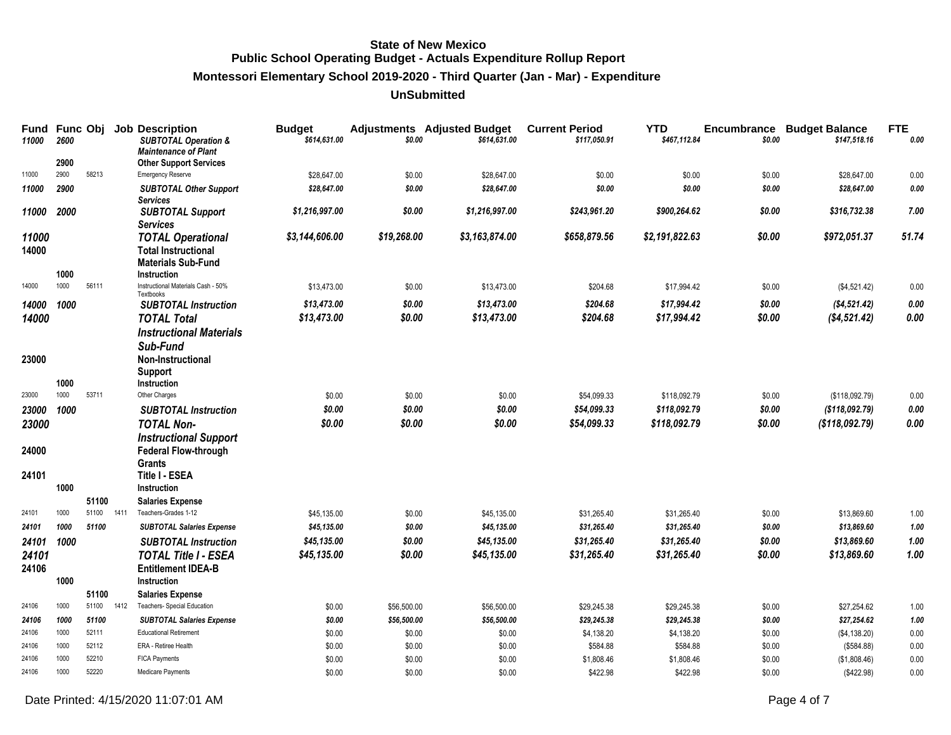# **Montessori Elementary School 2019-2020 - Third Quarter (Jan - Mar) - Expenditure**

| Fund<br>11000  | Func Obj<br>2600 |                |      | <b>Job Description</b><br><b>SUBTOTAL Operation &amp;</b>    | <b>Budget</b><br>\$614,631.00 | \$0.00      | <b>Adjustments</b> Adjusted Budget<br>\$614,631.00 | <b>Current Period</b><br>\$117,050.91 | <b>YTD</b><br>\$467,112.84 | Encumbrance<br>\$0.00 | <b>Budget Balance</b><br>\$147,518.16 | <b>FTE</b><br>0.00 |
|----------------|------------------|----------------|------|--------------------------------------------------------------|-------------------------------|-------------|----------------------------------------------------|---------------------------------------|----------------------------|-----------------------|---------------------------------------|--------------------|
|                | 2900             |                |      | <b>Maintenance of Plant</b><br><b>Other Support Services</b> |                               |             |                                                    |                                       |                            |                       |                                       |                    |
| 11000          | 2900             | 58213          |      | Emergency Reserve                                            | \$28,647.00                   | \$0.00      | \$28,647.00                                        | \$0.00                                | \$0.00                     | \$0.00                | \$28,647.00                           | 0.00               |
| 11000          | 2900             |                |      | <b>SUBTOTAL Other Support</b><br><b>Services</b>             | \$28,647.00                   | \$0.00      | \$28,647.00                                        | \$0.00                                | \$0.00                     | \$0.00                | \$28,647.00                           | 0.00               |
| 11000          | 2000             |                |      | <b>SUBTOTAL Support</b><br><b>Services</b>                   | \$1,216,997.00                | \$0.00      | \$1,216,997.00                                     | \$243.961.20                          | \$900.264.62               | \$0.00                | \$316,732.38                          | 7.00               |
| 11000<br>14000 |                  |                |      | <b>TOTAL Operational</b><br><b>Total Instructional</b>       | \$3,144,606.00                | \$19,268.00 | \$3,163,874.00                                     | \$658,879.56                          | \$2,191,822.63             | \$0.00                | \$972,051.37                          | 51.74              |
|                | 1000             |                |      | <b>Materials Sub-Fund</b><br>Instruction                     |                               |             |                                                    |                                       |                            |                       |                                       |                    |
| 14000          | 1000             | 56111          |      | Instructional Materials Cash - 50%<br>Textbooks              | \$13,473.00                   | \$0.00      | \$13,473.00                                        | \$204.68                              | \$17,994.42                | \$0.00                | (\$4,521.42)                          | 0.00               |
| 14000          | 1000             |                |      | <b>SUBTOTAL Instruction</b>                                  | \$13,473.00                   | \$0.00      | \$13,473.00                                        | \$204.68                              | \$17,994.42                | \$0.00                | ( \$4,521.42)                         | 0.00               |
| 14000          |                  |                |      | <b>TOTAL Total</b>                                           | \$13,473.00                   | \$0.00      | \$13,473.00                                        | \$204.68                              | \$17,994.42                | \$0.00                | (\$4,521.42)                          | 0.00               |
|                |                  |                |      | <b>Instructional Materials</b>                               |                               |             |                                                    |                                       |                            |                       |                                       |                    |
|                |                  |                |      | Sub-Fund                                                     |                               |             |                                                    |                                       |                            |                       |                                       |                    |
| 23000          |                  |                |      | <b>Non-Instructional</b>                                     |                               |             |                                                    |                                       |                            |                       |                                       |                    |
|                | 1000             |                |      | <b>Support</b><br>Instruction                                |                               |             |                                                    |                                       |                            |                       |                                       |                    |
| 23000          | 1000             | 53711          |      | Other Charges                                                | \$0.00                        | \$0.00      | \$0.00                                             | \$54,099.33                           | \$118,092.79               | \$0.00                | (\$118,092.79)                        | 0.00               |
| 23000          | 1000             |                |      | <b>SUBTOTAL Instruction</b>                                  | \$0.00                        | \$0.00      | \$0.00                                             | \$54,099.33                           | \$118,092.79               | \$0.00                | ( \$118.092.79)                       | 0.00               |
| 23000          |                  |                |      | <b>TOTAL Non-</b>                                            | \$0.00                        | \$0.00      | \$0.00                                             | \$54,099.33                           | \$118,092.79               | \$0.00                | (S118.092.79)                         | 0.00               |
|                |                  |                |      | <b>Instructional Support</b>                                 |                               |             |                                                    |                                       |                            |                       |                                       |                    |
| 24000          |                  |                |      | <b>Federal Flow-through</b>                                  |                               |             |                                                    |                                       |                            |                       |                                       |                    |
|                |                  |                |      | <b>Grants</b>                                                |                               |             |                                                    |                                       |                            |                       |                                       |                    |
| 24101          | 1000             |                |      | Title I - ESEA<br>Instruction                                |                               |             |                                                    |                                       |                            |                       |                                       |                    |
|                |                  | 51100          |      | <b>Salaries Expense</b>                                      |                               |             |                                                    |                                       |                            |                       |                                       |                    |
| 24101          | 1000             | 51100          | 1411 | Teachers-Grades 1-12                                         | \$45,135.00                   | \$0.00      | \$45,135.00                                        | \$31,265.40                           | \$31,265.40                | \$0.00                | \$13,869.60                           | 1.00               |
| 24101          | 1000             | 51100          |      | <b>SUBTOTAL Salaries Expense</b>                             | \$45,135.00                   | \$0.00      | \$45,135.00                                        | \$31,265.40                           | \$31,265.40                | \$0.00                | \$13,869.60                           | 1.00               |
| 24101          | 1000             |                |      | <b>SUBTOTAL Instruction</b>                                  | \$45,135.00                   | \$0.00      | \$45,135.00                                        | \$31,265.40                           | \$31.265.40                | \$0.00                | \$13,869.60                           | 1.00               |
| 24101          |                  |                |      | <b>TOTAL Title I - ESEA</b>                                  | \$45,135.00                   | \$0.00      | \$45,135.00                                        | \$31,265.40                           | \$31,265.40                | \$0.00                | \$13,869.60                           | 1.00               |
| 24106          |                  |                |      | <b>Entitlement IDEA-B</b>                                    |                               |             |                                                    |                                       |                            |                       |                                       |                    |
|                | 1000             |                |      | Instruction                                                  |                               |             |                                                    |                                       |                            |                       |                                       |                    |
|                |                  | 51100          |      | <b>Salaries Expense</b>                                      |                               |             |                                                    |                                       |                            |                       |                                       |                    |
| 24106          | 1000             | 51100          | 1412 | Teachers- Special Education                                  | \$0.00                        | \$56,500.00 | \$56,500.00                                        | \$29,245.38                           | \$29,245.38                | \$0.00                | \$27,254.62                           | 1.00               |
| 24106          | 1000             | 51100          |      | <b>SUBTOTAL Salaries Expense</b>                             | \$0.00                        | \$56,500.00 | \$56,500.00                                        | \$29,245.38                           | \$29,245.38                | \$0.00                | \$27,254.62                           | 1.00               |
| 24106          | 1000             | 52111          |      | <b>Educational Retirement</b>                                | \$0.00                        | \$0.00      | \$0.00                                             | \$4,138.20                            | \$4,138.20                 | \$0.00                | (\$4,138.20)                          | 0.00               |
| 24106<br>24106 | 1000<br>1000     | 52112<br>52210 |      | ERA - Retiree Health                                         | \$0.00                        | \$0.00      | \$0.00                                             | \$584.88                              | \$584.88                   | \$0.00                | (\$584.88)                            | 0.00               |
| 24106          | 1000             | 52220          |      | <b>FICA Payments</b><br>Medicare Payments                    | \$0.00                        | \$0.00      | \$0.00                                             | \$1,808.46                            | \$1,808.46                 | \$0.00                | (\$1,808.46)                          | 0.00               |
|                |                  |                |      |                                                              | \$0.00                        | \$0.00      | \$0.00                                             | \$422.98                              | \$422.98                   | \$0.00                | (\$422.98)                            | 0.00               |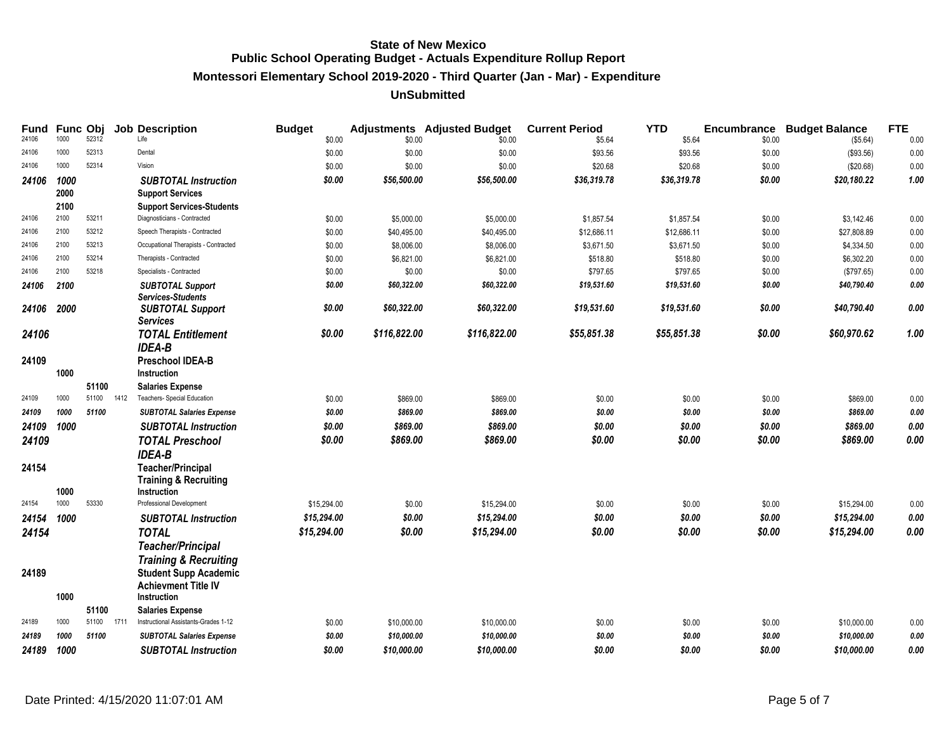# **Montessori Elementary School 2019-2020 - Third Quarter (Jan - Mar) - Expenditure**

| Fund<br>24106 | Func Obj<br>1000 | 52312 |      | <b>Job Description</b><br>Life                         | <b>Budget</b><br>\$0.00 | \$0.00       | <b>Adjustments</b> Adjusted Budget<br>\$0.00 | <b>Current Period</b><br>\$5.64 | <b>YTD</b><br>\$5.64 | Encumbrance<br>\$0.00 | <b>Budget Balance</b><br>(\$5.64) | <b>FTE</b><br>0.00 |
|---------------|------------------|-------|------|--------------------------------------------------------|-------------------------|--------------|----------------------------------------------|---------------------------------|----------------------|-----------------------|-----------------------------------|--------------------|
| 24106         | 1000             | 52313 |      | Dental                                                 | \$0.00                  | \$0.00       | \$0.00                                       | \$93.56                         | \$93.56              | \$0.00                | (\$93.56)                         | 0.00               |
| 24106         | 1000             | 52314 |      | Vision                                                 | \$0.00                  | \$0.00       | \$0.00                                       | \$20.68                         | \$20.68              | \$0.00                | (\$20.68)                         | 0.00               |
| 24106         | 1000<br>2000     |       |      | <b>SUBTOTAL Instruction</b><br><b>Support Services</b> | \$0.00                  | \$56,500.00  | \$56,500.00                                  | \$36,319.78                     | \$36,319.78          | \$0.00                | \$20,180.22                       | 1.00               |
|               | 2100             |       |      | <b>Support Services-Students</b>                       |                         |              |                                              |                                 |                      |                       |                                   |                    |
| 24106         | 2100             | 53211 |      | Diagnosticians - Contracted                            | \$0.00                  | \$5,000.00   | \$5,000.00                                   | \$1,857.54                      | \$1,857.54           | \$0.00                | \$3,142.46                        | 0.00               |
| 24106         | 2100             | 53212 |      | Speech Therapists - Contracted                         | \$0.00                  | \$40,495.00  | \$40,495.00                                  | \$12,686.11                     | \$12,686.11          | \$0.00                | \$27,808.89                       | 0.00               |
| 24106         | 2100             | 53213 |      | Occupational Therapists - Contracted                   | \$0.00                  | \$8,006.00   | \$8,006.00                                   | \$3,671.50                      | \$3,671.50           | \$0.00                | \$4,334.50                        | 0.00               |
| 24106         | 2100             | 53214 |      | Therapists - Contracted                                | \$0.00                  | \$6,821.00   | \$6,821.00                                   | \$518.80                        | \$518.80             | \$0.00                | \$6,302.20                        | 0.00               |
| 24106         | 2100             | 53218 |      | Specialists - Contracted                               | \$0.00                  | \$0.00       | \$0.00                                       | \$797.65                        | \$797.65             | \$0.00                | (\$797.65)                        | 0.00               |
| 24106         | 2100             |       |      | <b>SUBTOTAL Support</b><br><b>Services-Students</b>    | \$0.00                  | \$60,322.00  | \$60,322.00                                  | \$19,531.60                     | \$19,531.60          | \$0.00                | \$40,790.40                       | 0.00               |
| 24106         | 2000             |       |      | <b>SUBTOTAL Support</b><br><b>Services</b>             | \$0.00                  | \$60,322.00  | \$60,322.00                                  | \$19,531.60                     | \$19,531.60          | \$0.00                | \$40,790.40                       | 0.00               |
| 24106         |                  |       |      | <b>TOTAL Entitlement</b><br><b>IDEA-B</b>              | \$0.00                  | \$116,822.00 | \$116,822.00                                 | \$55,851.38                     | \$55,851.38          | \$0.00                | \$60,970.62                       | 1.00               |
| 24109         |                  |       |      | <b>Preschool IDEA-B</b>                                |                         |              |                                              |                                 |                      |                       |                                   |                    |
|               | 1000             |       |      | Instruction                                            |                         |              |                                              |                                 |                      |                       |                                   |                    |
|               |                  | 51100 |      | <b>Salaries Expense</b>                                |                         |              |                                              |                                 |                      |                       |                                   |                    |
| 24109         | 1000             | 51100 | 1412 | Teachers- Special Education                            | \$0.00                  | \$869.00     | \$869.00                                     | \$0.00                          | \$0.00               | \$0.00                | \$869.00                          | 0.00               |
| 24109         | 1000             | 51100 |      | <b>SUBTOTAL Salaries Expense</b>                       | \$0.00                  | \$869.00     | \$869.00                                     | \$0.00                          | \$0.00               | \$0.00                | \$869.00                          | 0.00               |
| 24109         | 1000             |       |      | <b>SUBTOTAL Instruction</b>                            | \$0.00                  | \$869.00     | \$869.00                                     | \$0.00                          | \$0.00               | \$0.00                | \$869.00                          | 0.00               |
| 24109         |                  |       |      | <b>TOTAL Preschool</b>                                 | \$0.00                  | \$869.00     | \$869.00                                     | \$0.00                          | \$0.00               | \$0.00                | \$869.00                          | 0.00               |
|               |                  |       |      | <b>IDEA-B</b>                                          |                         |              |                                              |                                 |                      |                       |                                   |                    |
| 24154         |                  |       |      | <b>Teacher/Principal</b>                               |                         |              |                                              |                                 |                      |                       |                                   |                    |
|               |                  |       |      | <b>Training &amp; Recruiting</b>                       |                         |              |                                              |                                 |                      |                       |                                   |                    |
|               | 1000             |       |      | <b>Instruction</b>                                     |                         |              |                                              |                                 |                      |                       |                                   |                    |
| 24154         | 1000             | 53330 |      | Professional Development                               | \$15,294.00             | \$0.00       | \$15,294.00                                  | \$0.00                          | \$0.00               | \$0.00                | \$15,294.00                       | 0.00               |
| 24154 1000    |                  |       |      | <b>SUBTOTAL Instruction</b>                            | \$15,294.00             | \$0.00       | \$15,294.00                                  | \$0.00                          | \$0.00               | \$0.00                | \$15,294.00                       | 0.00               |
| 24154         |                  |       |      | <b>TOTAL</b>                                           | \$15,294.00             | \$0.00       | \$15,294.00                                  | \$0.00                          | \$0.00               | \$0.00                | \$15,294.00                       | 0.00               |
|               |                  |       |      | <b>Teacher/Principal</b>                               |                         |              |                                              |                                 |                      |                       |                                   |                    |
|               |                  |       |      | <b>Training &amp; Recruiting</b>                       |                         |              |                                              |                                 |                      |                       |                                   |                    |
| 24189         |                  |       |      | <b>Student Supp Academic</b>                           |                         |              |                                              |                                 |                      |                       |                                   |                    |
|               |                  |       |      | <b>Achievment Title IV</b>                             |                         |              |                                              |                                 |                      |                       |                                   |                    |
|               | 1000             |       |      | <b>Instruction</b>                                     |                         |              |                                              |                                 |                      |                       |                                   |                    |
|               |                  | 51100 |      | <b>Salaries Expense</b>                                |                         |              |                                              |                                 |                      |                       |                                   |                    |
| 24189         | 1000             | 51100 | 1711 | Instructional Assistants-Grades 1-12                   | \$0.00                  | \$10,000.00  | \$10,000.00                                  | \$0.00                          | \$0.00               | \$0.00                | \$10,000.00                       | 0.00               |
| 24189         | 1000             | 51100 |      | <b>SUBTOTAL Salaries Expense</b>                       | \$0.00                  | \$10,000.00  | \$10,000.00                                  | \$0.00                          | \$0.00               | \$0.00                | \$10,000.00                       | 0.00               |
| 24189         | 1000             |       |      | <b>SUBTOTAL Instruction</b>                            | \$0.00                  | \$10,000.00  | \$10,000.00                                  | \$0.00                          | \$0.00               | \$0.00                | \$10,000.00                       | 0.00               |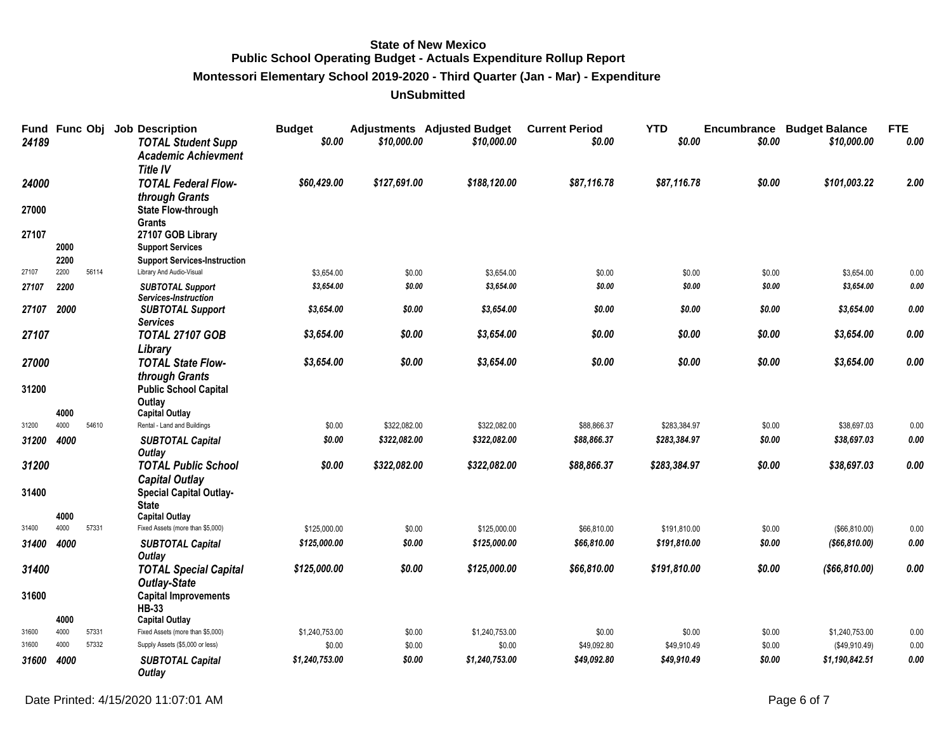**Montessori Elementary School 2019-2020 - Third Quarter (Jan - Mar) - Expenditure**

| 24189 | Fund Func Obj |       | <b>Job Description</b><br><b>TOTAL Student Supp</b><br><b>Academic Achievment</b><br><b>Title IV</b> | <b>Budget</b><br>\$0.00 | \$10,000.00  | <b>Adjustments</b> Adjusted Budget<br>\$10,000.00 | <b>Current Period</b><br>\$0.00 | <b>YTD</b><br>\$0.00 | Encumbrance<br>\$0.00 | <b>Budget Balance</b><br>\$10,000.00 | <b>FTE</b><br>0.00 |
|-------|---------------|-------|------------------------------------------------------------------------------------------------------|-------------------------|--------------|---------------------------------------------------|---------------------------------|----------------------|-----------------------|--------------------------------------|--------------------|
| 24000 |               |       | <b>TOTAL Federal Flow-</b><br>through Grants                                                         | \$60,429.00             | \$127,691.00 | \$188,120.00                                      | \$87,116.78                     | \$87,116.78          | \$0.00                | \$101,003.22                         | 2.00               |
| 27000 |               |       | <b>State Flow-through</b><br><b>Grants</b>                                                           |                         |              |                                                   |                                 |                      |                       |                                      |                    |
| 27107 |               |       | 27107 GOB Library                                                                                    |                         |              |                                                   |                                 |                      |                       |                                      |                    |
|       | 2000          |       | <b>Support Services</b>                                                                              |                         |              |                                                   |                                 |                      |                       |                                      |                    |
|       | 2200          |       | <b>Support Services-Instruction</b>                                                                  |                         |              |                                                   |                                 |                      |                       |                                      |                    |
| 27107 | 2200          | 56114 | Library And Audio-Visual                                                                             | \$3,654.00              | \$0.00       | \$3,654.00                                        | \$0.00                          | \$0.00               | \$0.00                | \$3,654.00                           | 0.00               |
| 27107 | 2200          |       | <b>SUBTOTAL Support</b>                                                                              | \$3,654.00              | \$0.00       | \$3,654.00                                        | \$0.00                          | \$0.00               | \$0.00                | \$3,654.00                           | 0.00               |
| 27107 | 2000          |       | Services-Instruction<br><b>SUBTOTAL Support</b><br><b>Services</b>                                   | \$3,654.00              | \$0.00       | \$3,654.00                                        | \$0.00                          | \$0.00               | \$0.00                | \$3,654.00                           | 0.00               |
| 27107 |               |       | <b>TOTAL 27107 GOB</b><br>Library                                                                    | \$3,654.00              | \$0.00       | \$3,654.00                                        | \$0.00                          | \$0.00               | \$0.00                | \$3,654.00                           | 0.00               |
| 27000 |               |       | <b>TOTAL State Flow-</b><br>through Grants                                                           | \$3,654.00              | \$0.00       | \$3,654.00                                        | \$0.00                          | \$0.00               | \$0.00                | \$3,654.00                           | 0.00               |
| 31200 | 4000          |       | <b>Public School Capital</b><br>Outlay<br><b>Capital Outlay</b>                                      |                         |              |                                                   |                                 |                      |                       |                                      |                    |
| 31200 | 4000          | 54610 | Rental - Land and Buildings                                                                          | \$0.00                  | \$322,082.00 | \$322,082.00                                      | \$88,866.37                     | \$283,384.97         | \$0.00                | \$38,697.03                          | 0.00               |
| 31200 | 4000          |       | <b>SUBTOTAL Capital</b>                                                                              | \$0.00                  | \$322,082.00 | \$322,082.00                                      | \$88,866.37                     | \$283,384.97         | \$0.00                | \$38,697.03                          | 0.00               |
| 31200 |               |       | Outlay<br><b>TOTAL Public School</b>                                                                 | \$0.00                  | \$322,082.00 | \$322,082.00                                      | \$88,866.37                     | \$283,384.97         | \$0.00                | \$38,697.03                          | 0.00               |
|       |               |       | <b>Capital Outlay</b>                                                                                |                         |              |                                                   |                                 |                      |                       |                                      |                    |
| 31400 |               |       | <b>Special Capital Outlay-</b>                                                                       |                         |              |                                                   |                                 |                      |                       |                                      |                    |
|       |               |       | <b>State</b>                                                                                         |                         |              |                                                   |                                 |                      |                       |                                      |                    |
|       | 4000          |       | <b>Capital Outlay</b>                                                                                |                         |              |                                                   |                                 |                      |                       |                                      |                    |
| 31400 | 4000          | 57331 | Fixed Assets (more than \$5,000)                                                                     | \$125,000.00            | \$0.00       | \$125,000.00                                      | \$66,810.00                     | \$191,810.00         | \$0.00                | (\$66, 810.00)                       | 0.00               |
| 31400 | 4000          |       | <b>SUBTOTAL Capital</b><br>Outlay                                                                    | \$125,000.00            | \$0.00       | \$125,000.00                                      | \$66,810.00                     | \$191,810.00         | \$0.00                | ( \$66, 810.00)                      | 0.00               |
| 31400 |               |       | <b>TOTAL Special Capital</b>                                                                         | \$125,000.00            | \$0.00       | \$125,000.00                                      | \$66,810.00                     | \$191,810.00         | \$0.00                | ( \$66, 810.00)                      | 0.00               |
| 31600 |               |       | <b>Outlay-State</b><br><b>Capital Improvements</b><br><b>HB-33</b>                                   |                         |              |                                                   |                                 |                      |                       |                                      |                    |
|       | 4000          |       | <b>Capital Outlay</b>                                                                                |                         |              |                                                   |                                 |                      |                       |                                      |                    |
| 31600 | 4000          | 57331 | Fixed Assets (more than \$5,000)                                                                     | \$1,240,753.00          | \$0.00       | \$1,240,753.00                                    | \$0.00                          | \$0.00               | \$0.00                | \$1,240,753.00                       | 0.00               |
| 31600 | 4000          | 57332 | Supply Assets (\$5,000 or less)                                                                      | \$0.00                  | \$0.00       | \$0.00                                            | \$49,092.80                     | \$49,910.49          | \$0.00                | (\$49,910.49)                        | 0.00               |
| 31600 | 4000          |       | <b>SUBTOTAL Capital</b><br>Outlay                                                                    | \$1,240,753.00          | \$0.00       | \$1,240,753.00                                    | \$49,092.80                     | \$49,910.49          | \$0.00                | \$1,190,842.51                       | 0.00               |